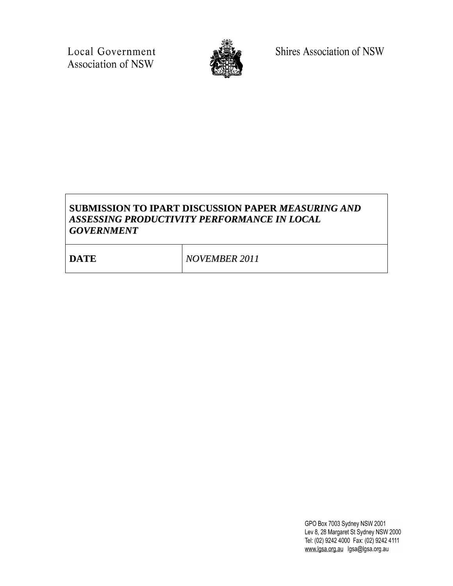Local Government Association of NSW



Shires Association of NSW

# **SUBMISSION TO IPART DISCUSSION PAPER** *MEASURING AND ASSESSING PRODUCTIVITY PERFORMANCE IN LOCAL GOVERNMENT*

| <b>DATE</b> | <b>NOVEMBER 2011</b> |
|-------------|----------------------|
|             |                      |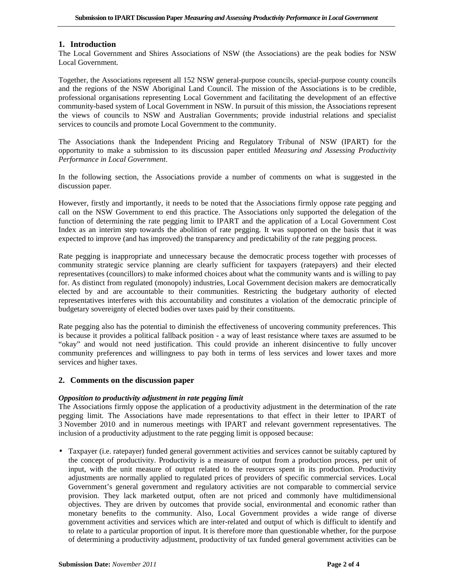## **1. Introduction**

The Local Government and Shires Associations of NSW (the Associations) are the peak bodies for NSW Local Government.

Together, the Associations represent all 152 NSW general-purpose councils, special-purpose county councils and the regions of the NSW Aboriginal Land Council. The mission of the Associations is to be credible, professional organisations representing Local Government and facilitating the development of an effective community-based system of Local Government in NSW. In pursuit of this mission, the Associations represent the views of councils to NSW and Australian Governments; provide industrial relations and specialist services to councils and promote Local Government to the community.

The Associations thank the Independent Pricing and Regulatory Tribunal of NSW (IPART) for the opportunity to make a submission to its discussion paper entitled *Measuring and Assessing Productivity Performance in Local Government*.

In the following section, the Associations provide a number of comments on what is suggested in the discussion paper.

However, firstly and importantly, it needs to be noted that the Associations firmly oppose rate pegging and call on the NSW Government to end this practice. The Associations only supported the delegation of the function of determining the rate pegging limit to IPART and the application of a Local Government Cost Index as an interim step towards the abolition of rate pegging. It was supported on the basis that it was expected to improve (and has improved) the transparency and predictability of the rate pegging process.

Rate pegging is inappropriate and unnecessary because the democratic process together with processes of community strategic service planning are clearly sufficient for taxpayers (ratepayers) and their elected representatives (councillors) to make informed choices about what the community wants and is willing to pay for. As distinct from regulated (monopoly) industries, Local Government decision makers are democratically elected by and are accountable to their communities. Restricting the budgetary authority of elected representatives interferes with this accountability and constitutes a violation of the democratic principle of budgetary sovereignty of elected bodies over taxes paid by their constituents.

Rate pegging also has the potential to diminish the effectiveness of uncovering community preferences. This is because it provides a political fallback position - a way of least resistance where taxes are assumed to be "okay" and would not need justification. This could provide an inherent disincentive to fully uncover community preferences and willingness to pay both in terms of less services and lower taxes and more services and higher taxes.

### **2. Comments on the discussion paper**

### *Opposition to productivity adjustment in rate pegging limit*

The Associations firmly oppose the application of a productivity adjustment in the determination of the rate pegging limit. The Associations have made representations to that effect in their letter to IPART of 3 November 2010 and in numerous meetings with IPART and relevant government representatives. The inclusion of a productivity adjustment to the rate pegging limit is opposed because:

• Taxpayer (i.e. ratepayer) funded general government activities and services cannot be suitably captured by the concept of productivity. Productivity is a measure of output from a production process, per unit of input, with the unit measure of output related to the resources spent in its production. Productivity adjustments are normally applied to regulated prices of providers of specific commercial services. Local Government's general government and regulatory activities are not comparable to commercial service provision. They lack marketed output, often are not priced and commonly have multidimensional objectives. They are driven by outcomes that provide social, environmental and economic rather than monetary benefits to the community. Also, Local Government provides a wide range of diverse government activities and services which are inter-related and output of which is difficult to identify and to relate to a particular proportion of input. It is therefore more than questionable whether, for the purpose of determining a productivity adjustment, productivity of tax funded general government activities can be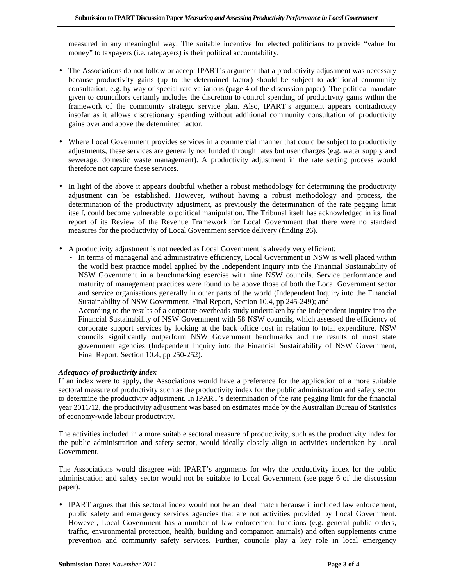measured in any meaningful way. The suitable incentive for elected politicians to provide "value for money" to taxpayers (i.e. ratepayers) is their political accountability.

- The Associations do not follow or accept IPART's argument that a productivity adjustment was necessary because productivity gains (up to the determined factor) should be subject to additional community consultation; e.g. by way of special rate variations (page 4 of the discussion paper). The political mandate given to councillors certainly includes the discretion to control spending of productivity gains within the framework of the community strategic service plan. Also, IPART's argument appears contradictory insofar as it allows discretionary spending without additional community consultation of productivity gains over and above the determined factor.
- Where Local Government provides services in a commercial manner that could be subject to productivity adjustments, these services are generally not funded through rates but user charges (e.g. water supply and sewerage, domestic waste management). A productivity adjustment in the rate setting process would therefore not capture these services.
- In light of the above it appears doubtful whether a robust methodology for determining the productivity adjustment can be established. However, without having a robust methodology and process, the determination of the productivity adjustment, as previously the determination of the rate pegging limit itself, could become vulnerable to political manipulation. The Tribunal itself has acknowledged in its final report of its Review of the Revenue Framework for Local Government that there were no standard measures for the productivity of Local Government service delivery (finding 26).
- A productivity adjustment is not needed as Local Government is already very efficient:
	- In terms of managerial and administrative efficiency, Local Government in NSW is well placed within the world best practice model applied by the Independent Inquiry into the Financial Sustainability of NSW Government in a benchmarking exercise with nine NSW councils. Service performance and maturity of management practices were found to be above those of both the Local Government sector and service organisations generally in other parts of the world (Independent Inquiry into the Financial Sustainability of NSW Government, Final Report, Section 10.4, pp 245-249); and
	- According to the results of a corporate overheads study undertaken by the Independent Inquiry into the Financial Sustainability of NSW Government with 58 NSW councils, which assessed the efficiency of corporate support services by looking at the back office cost in relation to total expenditure, NSW councils significantly outperform NSW Government benchmarks and the results of most state government agencies (Independent Inquiry into the Financial Sustainability of NSW Government, Final Report, Section 10.4, pp 250-252).

### *Adequacy of productivity index*

If an index were to apply, the Associations would have a preference for the application of a more suitable sectoral measure of productivity such as the productivity index for the public administration and safety sector to determine the productivity adjustment. In IPART's determination of the rate pegging limit for the financial year 2011/12, the productivity adjustment was based on estimates made by the Australian Bureau of Statistics of economy-wide labour productivity.

The activities included in a more suitable sectoral measure of productivity, such as the productivity index for the public administration and safety sector, would ideally closely align to activities undertaken by Local Government.

The Associations would disagree with IPART's arguments for why the productivity index for the public administration and safety sector would not be suitable to Local Government (see page 6 of the discussion paper):

• IPART argues that this sectoral index would not be an ideal match because it included law enforcement, public safety and emergency services agencies that are not activities provided by Local Government. However, Local Government has a number of law enforcement functions (e.g. general public orders, traffic, environmental protection, health, building and companion animals) and often supplements crime prevention and community safety services. Further, councils play a key role in local emergency